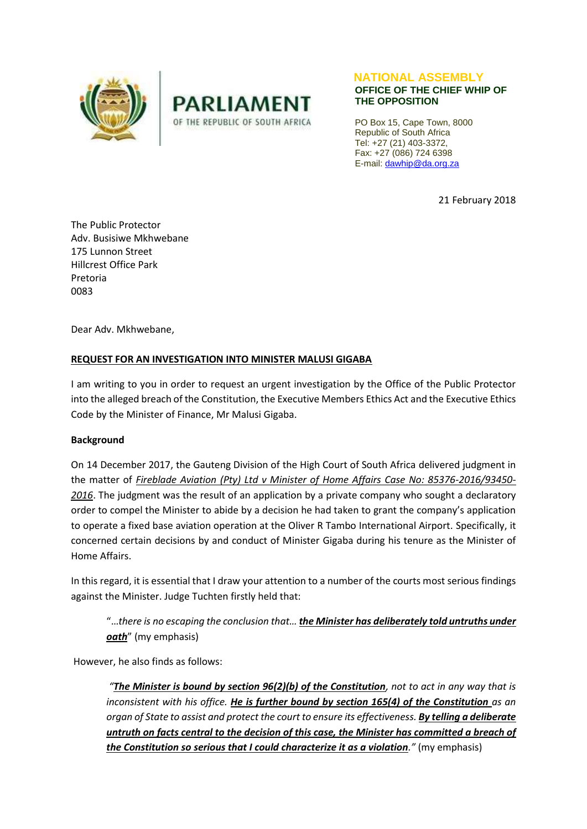



#### **NATIONAL ASSEMBLY OFFICE OF THE CHIEF WHIP OF THE OPPOSITION**

PO Box 15, Cape Town, 8000 Republic of South Africa Tel: +27 (21) 403-3372, Fax: +27 (086) 724 6398 E-mail[: dawhip@da.org.za](mailto:dawhip@da.org.za)

21 February 2018

The Public Protector Adv. Busisiwe Mkhwebane 175 Lunnon Street Hillcrest Office Park Pretoria 0083

Dear Adv. Mkhwebane,

# **REQUEST FOR AN INVESTIGATION INTO MINISTER MALUSI GIGABA**

I am writing to you in order to request an urgent investigation by the Office of the Public Protector into the alleged breach of the Constitution, the Executive Members Ethics Act and the Executive Ethics Code by the Minister of Finance, Mr Malusi Gigaba.

## **Background**

On 14 December 2017, the Gauteng Division of the High Court of South Africa delivered judgment in the matter of *Fireblade Aviation (Pty) Ltd v Minister of Home Affairs Case No: 85376-2016/93450- 2016*. The judgment was the result of an application by a private company who sought a declaratory order to compel the Minister to abide by a decision he had taken to grant the company's application to operate a fixed base aviation operation at the Oliver R Tambo International Airport. Specifically, it concerned certain decisions by and conduct of Minister Gigaba during his tenure as the Minister of Home Affairs.

In this regard, it is essential that I draw your attention to a number of the courts most serious findings against the Minister. Judge Tuchten firstly held that:

"…*there is no escaping the conclusion that… the Minister has deliberately told untruths under oath*" (my emphasis)

However, he also finds as follows:

*"The Minister is bound by section 96(2)(b) of the Constitution, not to act in any way that is inconsistent with his office. He is further bound by section 165(4) of the Constitution as an organ of State to assist and protect the court to ensure its effectiveness. By telling a deliberate untruth on facts central to the decision of this case, the Minister has committed a breach of the Constitution so serious that I could characterize it as a violation."* (my emphasis)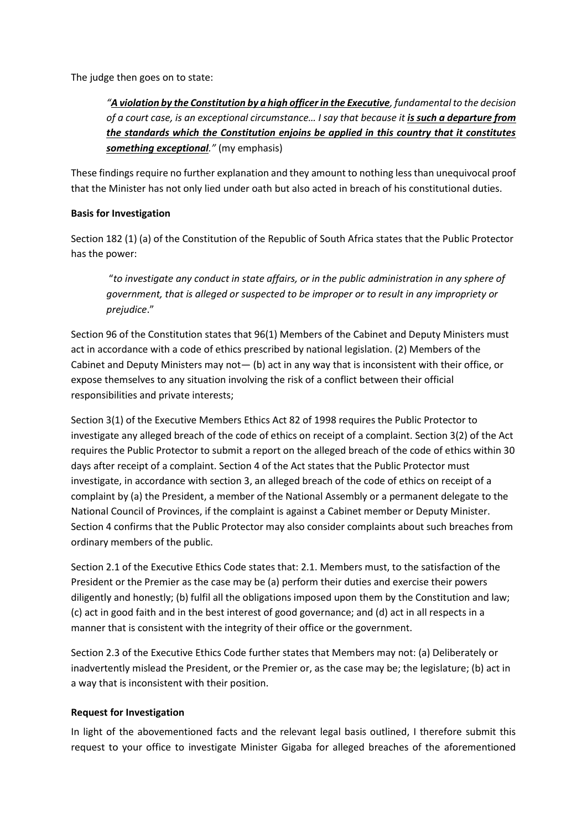The judge then goes on to state:

*"A violation by the Constitution by a high officer in the Executive, fundamental to the decision of a court case, is an exceptional circumstance… I say that because it is such a departure from the standards which the Constitution enjoins be applied in this country that it constitutes something exceptional."* (my emphasis)

These findings require no further explanation and they amount to nothing less than unequivocal proof that the Minister has not only lied under oath but also acted in breach of his constitutional duties.

## **Basis for Investigation**

Section 182 (1) (a) of the Constitution of the Republic of South Africa states that the Public Protector has the power:

"*to investigate any conduct in state affairs, or in the public administration in any sphere of government, that is alleged or suspected to be improper or to result in any impropriety or prejudice*."

Section 96 of the Constitution states that 96(1) Members of the Cabinet and Deputy Ministers must act in accordance with a code of ethics prescribed by national legislation. (2) Members of the Cabinet and Deputy Ministers may not— (b) act in any way that is inconsistent with their office, or expose themselves to any situation involving the risk of a conflict between their official responsibilities and private interests;

Section 3(1) of the Executive Members Ethics Act 82 of 1998 requires the Public Protector to investigate any alleged breach of the code of ethics on receipt of a complaint. Section 3(2) of the Act requires the Public Protector to submit a report on the alleged breach of the code of ethics within 30 days after receipt of a complaint. Section 4 of the Act states that the Public Protector must investigate, in accordance with section 3, an alleged breach of the code of ethics on receipt of a complaint by (a) the President, a member of the National Assembly or a permanent delegate to the National Council of Provinces, if the complaint is against a Cabinet member or Deputy Minister. Section 4 confirms that the Public Protector may also consider complaints about such breaches from ordinary members of the public.

Section 2.1 of the Executive Ethics Code states that: 2.1. Members must, to the satisfaction of the President or the Premier as the case may be (a) perform their duties and exercise their powers diligently and honestly; (b) fulfil all the obligations imposed upon them by the Constitution and law; (c) act in good faith and in the best interest of good governance; and (d) act in all respects in a manner that is consistent with the integrity of their office or the government.

Section 2.3 of the Executive Ethics Code further states that Members may not: (a) Deliberately or inadvertently mislead the President, or the Premier or, as the case may be; the legislature; (b) act in a way that is inconsistent with their position.

#### **Request for Investigation**

In light of the abovementioned facts and the relevant legal basis outlined, I therefore submit this request to your office to investigate Minister Gigaba for alleged breaches of the aforementioned